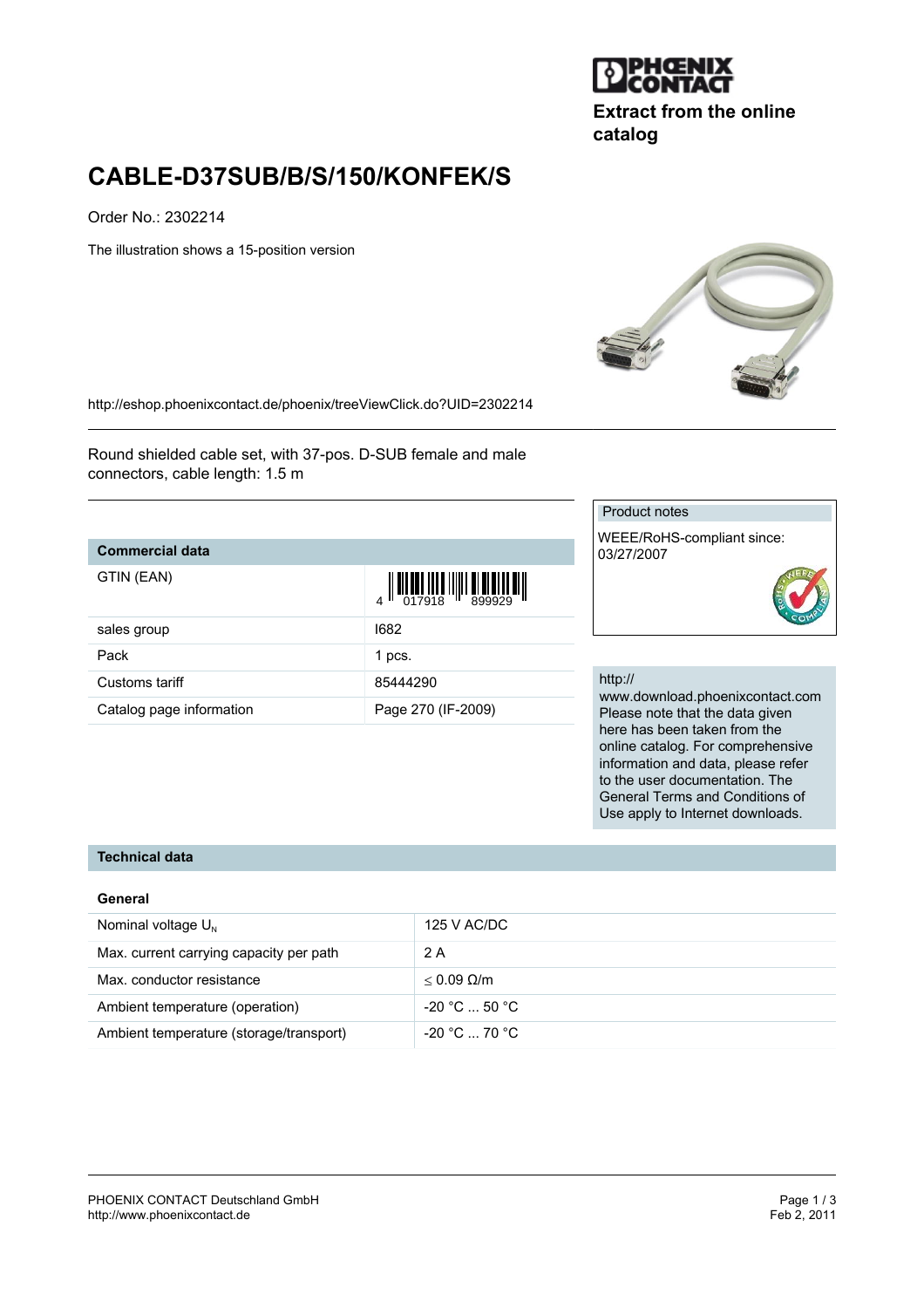

**Extract from the online catalog**

# **CABLE-D37SUB/B/S/150/KONFEK/S**

Order No.: 2302214

The illustration shows a 15-position version



<http://eshop.phoenixcontact.de/phoenix/treeViewClick.do?UID=2302214>

Round shielded cable set, with 37-pos. D-SUB female and male connectors, cable length: 1.5 m

### **Commercial data**

| GTIN (EAN) |  |
|------------|--|
|------------|--|

| GTIN (EAN)               |                    |
|--------------------------|--------------------|
| sales group              | 1682               |
| Pack                     | 1 pcs.             |
| Customs tariff           | 85444290           |
| Catalog page information | Page 270 (IF-2009) |

#### Product notes

WEEE/RoHS-compliant since: 03/27/2007

#### http://

www.download.phoenixcontact.com Please note that the data given here has been taken from the online catalog. For comprehensive information and data, please refer to the user documentation. The General Terms and Conditions of Use apply to Internet downloads.

## **Technical data**

#### **General**

| Nominal voltage $U_{N}$                 | 125 V AC/DC          |
|-----------------------------------------|----------------------|
| Max. current carrying capacity per path | 2 A                  |
| Max. conductor resistance               | $< 0.09$ Q/m         |
| Ambient temperature (operation)         | $-20 °C  50 °C$      |
| Ambient temperature (storage/transport) | $-20\degree$ C 70 °C |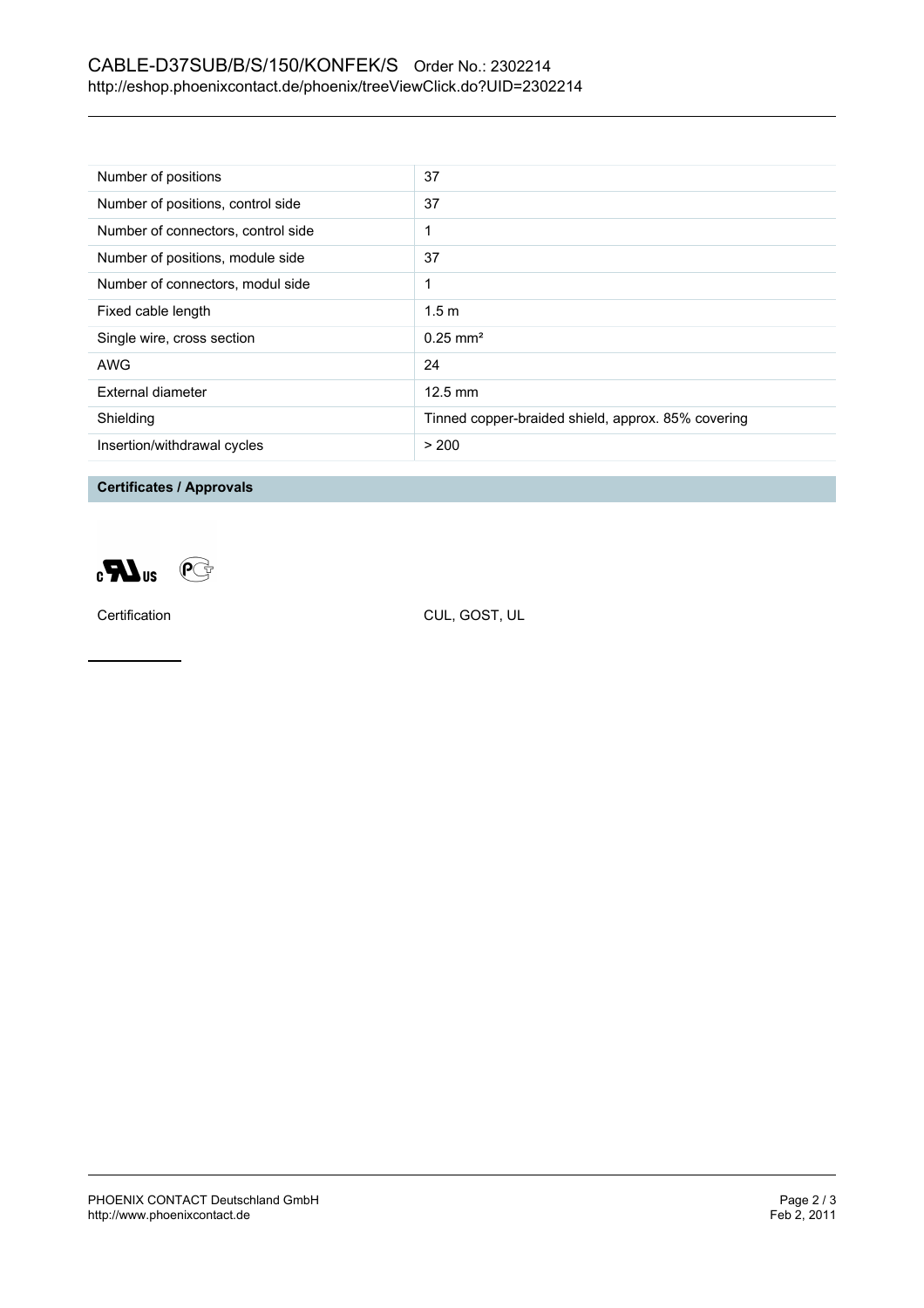## CABLE-D37SUB/B/S/150/KONFEK/S Order No.: 2302214 <http://eshop.phoenixcontact.de/phoenix/treeViewClick.do?UID=2302214>

| Number of positions                | 37                                                 |
|------------------------------------|----------------------------------------------------|
| Number of positions, control side  | 37                                                 |
| Number of connectors, control side |                                                    |
| Number of positions, module side   | 37                                                 |
| Number of connectors, modul side   | 1                                                  |
| Fixed cable length                 | 1.5 <sub>m</sub>                                   |
| Single wire, cross section         | $0.25 \text{ mm}^2$                                |
| AWG                                | 24                                                 |
| External diameter                  | $12.5 \text{ mm}$                                  |
| Shielding                          | Tinned copper-braided shield, approx. 85% covering |
| Insertion/withdrawal cycles        | > 200                                              |

**Certificates / Approvals**



Certification CUL, GOST, UL